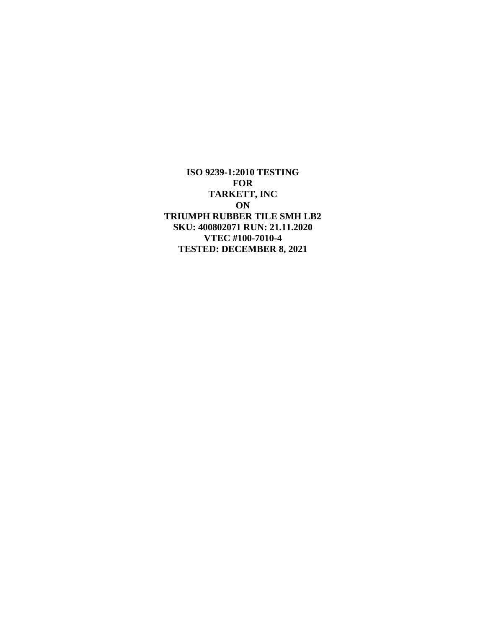**ISO 9239-1:2010 TESTING FOR TARKETT, INC ON TRIUMPH RUBBER TILE SMH LB2 SKU: 400802071 RUN: 21.11.2020 VTEC #100-7010-4 TESTED: DECEMBER 8, 2021**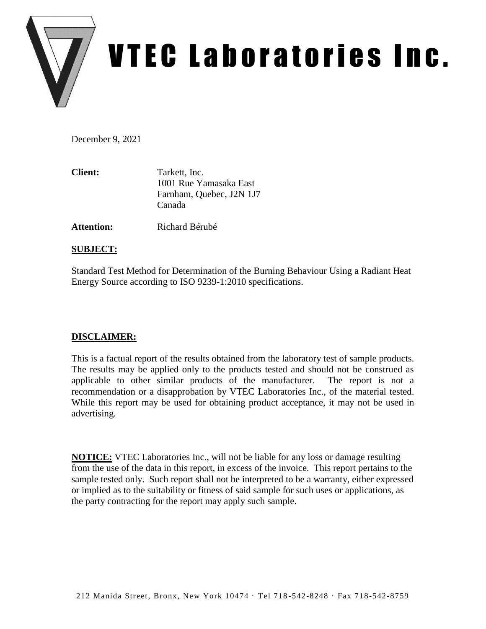

# VTEC Laboratories Inc.

December 9, 2021

| <b>Client:</b> | Tarkett, Inc.            |
|----------------|--------------------------|
|                | 1001 Rue Yamasaka East   |
|                | Farnham, Quebec, J2N 1J7 |
|                | Canada                   |

**Attention:** Richard Bérubé

## **SUBJECT:**

Standard Test Method for Determination of the Burning Behaviour Using a Radiant Heat Energy Source according to ISO 9239-1:2010 specifications.

# **DISCLAIMER:**

This is a factual report of the results obtained from the laboratory test of sample products. The results may be applied only to the products tested and should not be construed as applicable to other similar products of the manufacturer. The report is not a recommendation or a disapprobation by VTEC Laboratories Inc., of the material tested. While this report may be used for obtaining product acceptance, it may not be used in advertising.

**NOTICE:** VTEC Laboratories Inc., will not be liable for any loss or damage resulting from the use of the data in this report, in excess of the invoice. This report pertains to the sample tested only. Such report shall not be interpreted to be a warranty, either expressed or implied as to the suitability or fitness of said sample for such uses or applications, as the party contracting for the report may apply such sample.